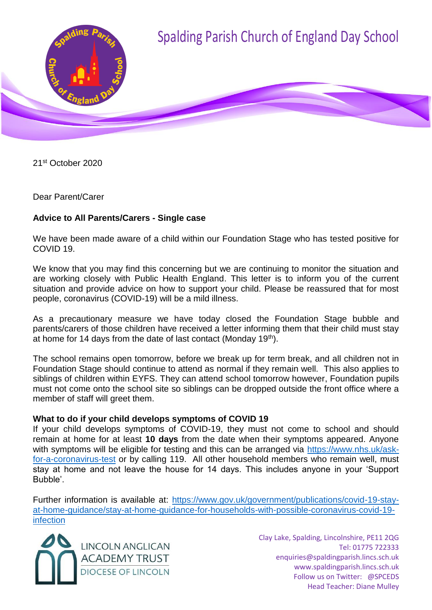

21st October 2020

Dear Parent/Carer

# **Advice to All Parents/Carers - Single case**

We have been made aware of a child within our Foundation Stage who has tested positive for COVID 19.

We know that you may find this concerning but we are continuing to monitor the situation and are working closely with Public Health England. This letter is to inform you of the current situation and provide advice on how to support your child. Please be reassured that for most people, coronavirus (COVID-19) will be a mild illness.

As a precautionary measure we have today closed the Foundation Stage bubble and parents/carers of those children have received a letter informing them that their child must stay at home for 14 days from the date of last contact (Monday 19<sup>th</sup>).

The school remains open tomorrow, before we break up for term break, and all children not in Foundation Stage should continue to attend as normal if they remain well. This also applies to siblings of children within EYFS. They can attend school tomorrow however, Foundation pupils must not come onto the school site so siblings can be dropped outside the front office where a member of staff will greet them.

# **What to do if your child develops symptoms of COVID 19**

If your child develops symptoms of COVID-19, they must not come to school and should remain at home for at least **10 days** from the date when their symptoms appeared. Anyone with symptoms will be eligible for testing and this can be arranged via [https://www.nhs.uk/ask](https://www.nhs.uk/ask-for-a-coronavirus-test)[for-a-coronavirus-test](https://www.nhs.uk/ask-for-a-coronavirus-test) or by calling 119. All other household members who remain well, must stay at home and not leave the house for 14 days. This includes anyone in your 'Support Bubble'.

Further information is available at: [https://www.gov.uk/government/publications/covid-19-stay](https://www.gov.uk/government/publications/covid-19-stay-at-home-guidance/stay-at-home-guidance-for-households-with-possible-coronavirus-covid-19-infection)[at-home-guidance/stay-at-home-guidance-for-households-with-possible-coronavirus-covid-19](https://www.gov.uk/government/publications/covid-19-stay-at-home-guidance/stay-at-home-guidance-for-households-with-possible-coronavirus-covid-19-infection) [infection](https://www.gov.uk/government/publications/covid-19-stay-at-home-guidance/stay-at-home-guidance-for-households-with-possible-coronavirus-covid-19-infection)



Clay Lake, Spalding, Lincolnshire, PE11 2QG Tel: 01775 722333 enquiries@spaldingparish.lincs.sch.uk www.spaldingparish.lincs.sch.uk Follow us on Twitter: @SPCEDS Head Teacher: Diane Mulley